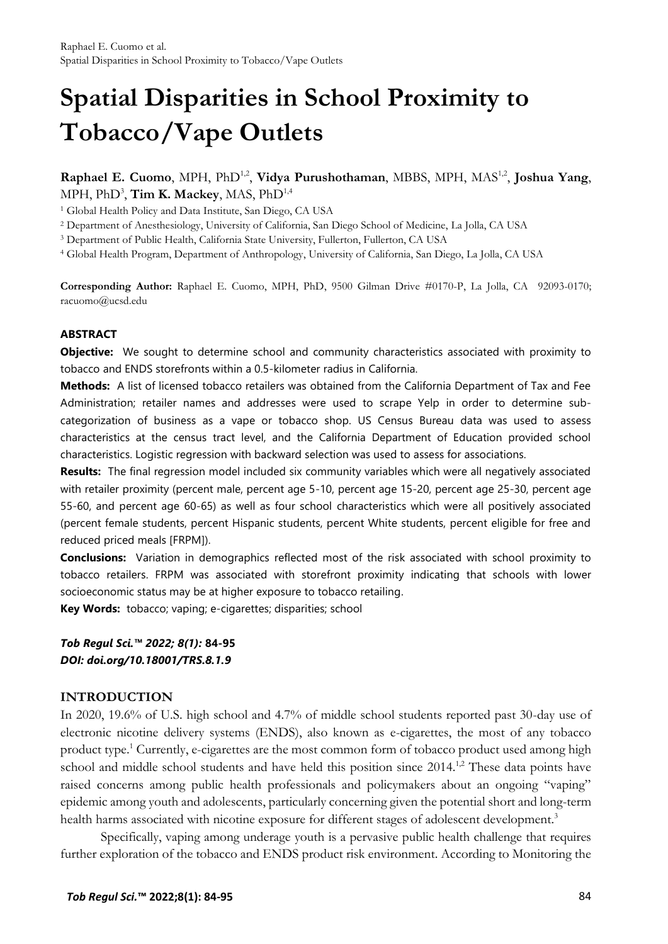# **Spatial Disparities in School Proximity to Tobacco/Vape Outlets**

# Raphael E. Cuomo, MPH, PhD<sup>1,2</sup>, Vidya Purushothaman, MBBS, MPH, MAS<sup>1,2</sup>, Joshua Yang, MPH, PhD<sup>3</sup>, **Tim K. Mackey**, MAS, PhD<sup>1,4</sup>

<sup>1</sup> Global Health Policy and Data Institute, San Diego, CA USA

<sup>2</sup> Department of Anesthesiology, University of California, San Diego School of Medicine, La Jolla, CA USA

<sup>3</sup> Department of Public Health, California State University, Fullerton, Fullerton, CA USA

<sup>4</sup> Global Health Program, Department of Anthropology, University of California, San Diego, La Jolla, CA USA

**Corresponding Author:** Raphael E. Cuomo, MPH, PhD, 9500 Gilman Drive #0170-P, La Jolla, CA 92093-0170; racuomo@ucsd.edu

#### **ABSTRACT**

**Objective:** We sought to determine school and community characteristics associated with proximity to tobacco and ENDS storefronts within a 0.5-kilometer radius in California.

**Methods:** A list of licensed tobacco retailers was obtained from the California Department of Tax and Fee Administration; retailer names and addresses were used to scrape Yelp in order to determine subcategorization of business as a vape or tobacco shop. US Census Bureau data was used to assess characteristics at the census tract level, and the California Department of Education provided school characteristics. Logistic regression with backward selection was used to assess for associations.

**Results:** The final regression model included six community variables which were all negatively associated with retailer proximity (percent male, percent age 5-10, percent age 15-20, percent age 25-30, percent age 55-60, and percent age 60-65) as well as four school characteristics which were all positively associated (percent female students, percent Hispanic students, percent White students, percent eligible for free and reduced priced meals [FRPM]).

**Conclusions:** Variation in demographics reflected most of the risk associated with school proximity to tobacco retailers. FRPM was associated with storefront proximity indicating that schools with lower socioeconomic status may be at higher exposure to tobacco retailing.

**Key Words:** tobacco; vaping; e-cigarettes; disparities; school

#### *Tob Regul Sci.™ 2022; 8(1):* **84-95** *DOI: doi.org/10.18001/TRS.8.1.9*

#### **INTRODUCTION**

In 2020, 19.6% of U.S. high school and 4.7% of middle school students reported past 30-day use of electronic nicotine delivery systems (ENDS), also known as e-cigarettes, the most of any tobacco product type[.](#page-10-0)<sup>1</sup> Currently, e-cigarettes are the most common form of tobacco product used among high school and middle school students and have held this position since 2014.<sup>[1,](#page-10-0)[2](#page-10-1)</sup> These data points have raised concerns among public health professionals and policymakers about an ongoing "vaping" epidemic among youth and adolescents, particularly concerning given the potential short and long-term health harms associated with nicotine exposure for different stages of adolescent development[.](#page-10-2)<sup>3</sup>

Specifically, vaping among underage youth is a pervasive public health challenge that requires further exploration of the tobacco and ENDS product risk environment. According to Monitoring the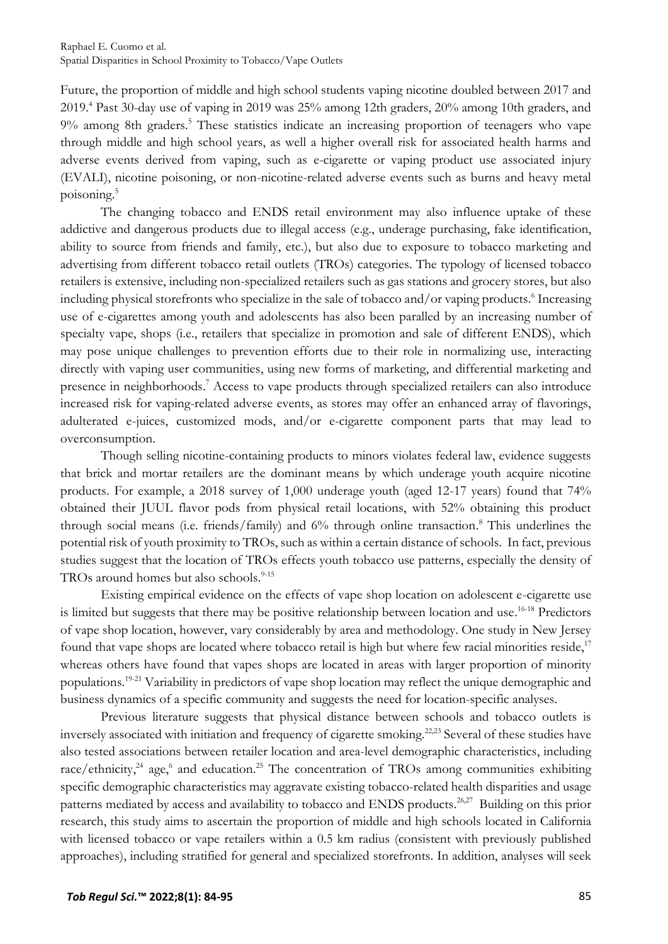Future, the proportion of middle and high school students vaping nicotine doubled between 2017 and 2019[.](#page-10-3) <sup>4</sup> Past 30-day use of vaping in 2019 was 25% among 12th graders, 20% among 10th graders, and 9% among 8th graders[.](#page-10-4) <sup>5</sup> These statistics indicate an increasing proportion of teenagers who vape through middle and high school years, as well a higher overall risk for associated health harms and adverse events derived from vaping, such as e-cigarette or vaping product use associated injury (EVALI), nicotine poisoning, or non-nicotine-related adverse events such as burns and heavy metal poisoning[.](#page-10-4) 5

The changing tobacco and ENDS retail environment may also influence uptake of these addictive and dangerous products due to illegal access (e.g., underage purchasing, fake identification, ability to source from friends and family, etc.), but also due to exposure to tobacco marketing and advertising from different tobacco retail outlets (TROs) categories. The typology of licensed tobacco retailers is extensive, including non-specialized retailers such as gas stations and grocery stores, but also including physical storefronts who specialize in the sale of tobacco and/or vaping products[.](#page-10-5) 6 Increasing use of e-cigarettes among youth and adolescents has also been paralled by an increasing number of specialty vape, shops (i.e., retailers that specialize in promotion and sale of different ENDS), which may pose unique challenges to prevention efforts due to their role in normalizing use, interacting directly with vaping user communities, using new forms of marketing, and differential marketing and presence in neighborhoods[.](#page-10-6) <sup>7</sup> Access to vape products through specialized retailers can also introduce increased risk for vaping-related adverse events, as stores may offer an enhanced array of flavorings, adulterated e-juices, customized mods, and/or e-cigarette component parts that may lead to overconsumption.

Though selling nicotine-containing products to minors violates federal law, evidence suggests that brick and mortar retailers are the dominant means by which underage youth acquire nicotine products. For example, a 2018 survey of 1,000 underage youth (aged 12-17 years) found that 74% obtained their JUUL flavor pods from physical retail locations, with 52% obtaining this product through social means (i.e. friends/family) and 6% through online transaction[.](#page-10-7) <sup>8</sup> This underlines the potential risk of youth proximity to TROs, such as within a certain distance of schools. In fact, previous studies suggest that the location of TROs effects youth tobacco use patterns, especially the density of TROs around homes but also schools. [9-15](#page-10-8)

Existing empirical evidence on the effects of vape shop location on adolescent e-cigarette use is limited but suggests that there may be positive relationship between location and use.<sup>[16-18](#page-10-9)</sup> Predictors of vape shop location, however, vary considerably by area and methodology. One study in New Jersey found that vape shops are located where tobacco retail is high but where few racial minorities reside,<sup>[17](#page-10-10)</sup> whereas others have found that vapes shops are located in areas with larger proportion of minority populations.<sup>[19-21](#page-10-11)</sup> Variability in predictors of vape shop location may reflect the unique demographic and business dynamics of a specific community and suggests the need for location-specific analyses.

Previous literature suggests that physical distance between schools and tobacco outlets is inversely associated with initiation and frequency of cigarette smoking.<sup>[22,](#page-11-0)[23](#page-11-1)</sup> Several of these studies have also tested associations between retailer location and area-level demographic characteristics, including race/ethnicity,<sup>[24](#page-11-2)</sup> age[,](#page-10-5)<sup>6</sup> and education.<sup>[25](#page-11-3)</sup> The concentration of TROs among communities exhibiting specific demographic characteristics may aggravate existing tobacco-related health disparities and usage patterns mediated by access and availability to tobacco and ENDS products.<sup>[26,](#page-11-4)[27](#page-11-5)</sup> Building on this prior research, this study aims to ascertain the proportion of middle and high schools located in California with licensed tobacco or vape retailers within a 0.5 km radius (consistent with previously published approaches), including stratified for general and specialized storefronts. In addition, analyses will seek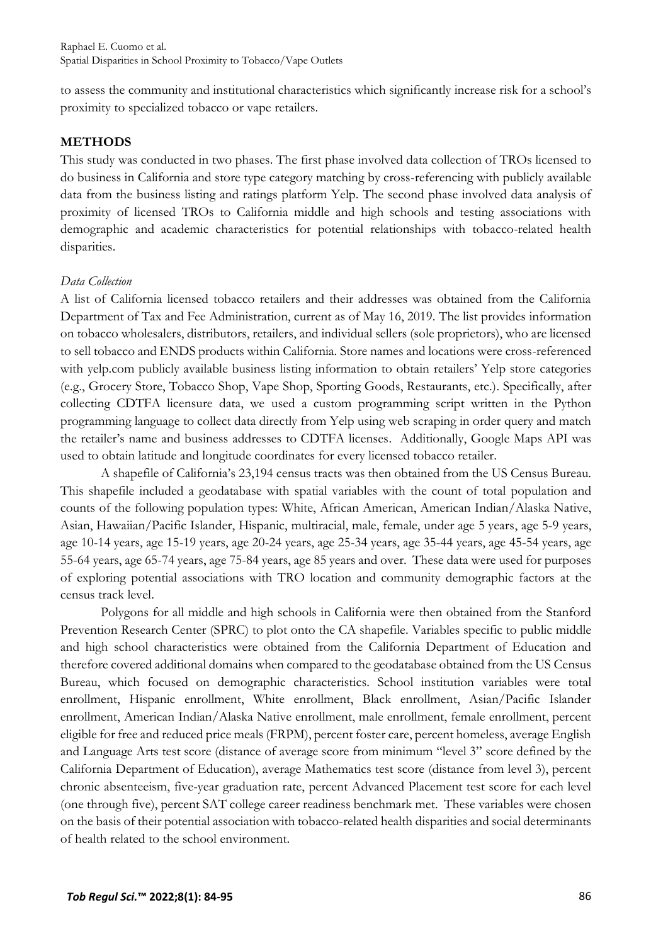to assess the community and institutional characteristics which significantly increase risk for a school's proximity to specialized tobacco or vape retailers.

#### **METHODS**

This study was conducted in two phases. The first phase involved data collection of TROs licensed to do business in California and store type category matching by cross-referencing with publicly available data from the business listing and ratings platform Yelp. The second phase involved data analysis of proximity of licensed TROs to California middle and high schools and testing associations with demographic and academic characteristics for potential relationships with tobacco-related health disparities.

#### *Data Collection*

A list of California licensed tobacco retailers and their addresses was obtained from the California Department of Tax and Fee Administration, current as of May 16, 2019. The list provides information on tobacco wholesalers, distributors, retailers, and individual sellers (sole proprietors), who are licensed to sell tobacco and ENDS products within California. Store names and locations were cross-referenced with yelp.com publicly available business listing information to obtain retailers' Yelp store categories (e.g., Grocery Store, Tobacco Shop, Vape Shop, Sporting Goods, Restaurants, etc.). Specifically, after collecting CDTFA licensure data, we used a custom programming script written in the Python programming language to collect data directly from Yelp using web scraping in order query and match the retailer's name and business addresses to CDTFA licenses. Additionally, Google Maps API was used to obtain latitude and longitude coordinates for every licensed tobacco retailer.

A shapefile of California's 23,194 census tracts was then obtained from the US Census Bureau. This shapefile included a geodatabase with spatial variables with the count of total population and counts of the following population types: White, African American, American Indian/Alaska Native, Asian, Hawaiian/Pacific Islander, Hispanic, multiracial, male, female, under age 5 years, age 5-9 years, age 10-14 years, age 15-19 years, age 20-24 years, age 25-34 years, age 35-44 years, age 45-54 years, age 55-64 years, age 65-74 years, age 75-84 years, age 85 years and over. These data were used for purposes of exploring potential associations with TRO location and community demographic factors at the census track level.

Polygons for all middle and high schools in California were then obtained from the Stanford Prevention Research Center (SPRC) to plot onto the CA shapefile. Variables specific to public middle and high school characteristics were obtained from the California Department of Education and therefore covered additional domains when compared to the geodatabase obtained from the US Census Bureau, which focused on demographic characteristics. School institution variables were total enrollment, Hispanic enrollment, White enrollment, Black enrollment, Asian/Pacific Islander enrollment, American Indian/Alaska Native enrollment, male enrollment, female enrollment, percent eligible for free and reduced price meals (FRPM), percent foster care, percent homeless, average English and Language Arts test score (distance of average score from minimum "level 3" score defined by the California Department of Education), average Mathematics test score (distance from level 3), percent chronic absenteeism, five-year graduation rate, percent Advanced Placement test score for each level (one through five), percent SAT college career readiness benchmark met. These variables were chosen on the basis of their potential association with tobacco-related health disparities and social determinants of health related to the school environment.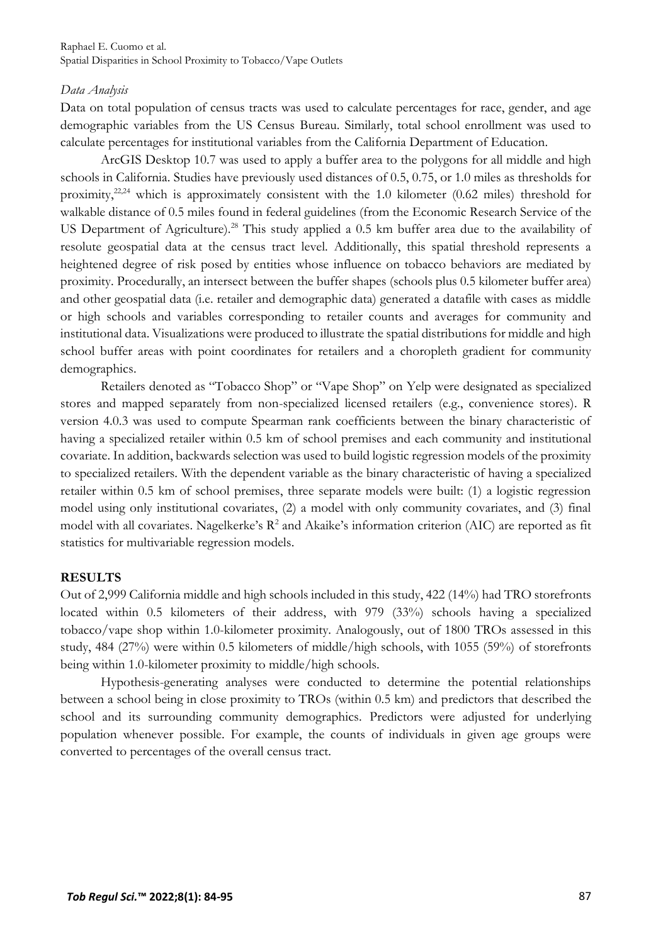#### *Data Analysis*

Data on total population of census tracts was used to calculate percentages for race, gender, and age demographic variables from the US Census Bureau. Similarly, total school enrollment was used to calculate percentages for institutional variables from the California Department of Education.

ArcGIS Desktop 10.7 was used to apply a buffer area to the polygons for all middle and high schools in California. Studies have previously used distances of 0.5, 0.75, or 1.0 miles as thresholds for proximity,<sup>[22,](#page-11-0)[24](#page-11-2)</sup> which is approximately consistent with the 1.0 kilometer (0.62 miles) threshold for walkable distance of 0.5 miles found in federal guidelines (from the Economic Research Service of the US Department of Agriculture).<sup>[28](#page-11-6)</sup> This study applied a 0.5 km buffer area due to the availability of resolute geospatial data at the census tract level. Additionally, this spatial threshold represents a heightened degree of risk posed by entities whose influence on tobacco behaviors are mediated by proximity. Procedurally, an intersect between the buffer shapes (schools plus 0.5 kilometer buffer area) and other geospatial data (i.e. retailer and demographic data) generated a datafile with cases as middle or high schools and variables corresponding to retailer counts and averages for community and institutional data. Visualizations were produced to illustrate the spatial distributions for middle and high school buffer areas with point coordinates for retailers and a choropleth gradient for community demographics.

Retailers denoted as "Tobacco Shop" or "Vape Shop" on Yelp were designated as specialized stores and mapped separately from non-specialized licensed retailers (e.g., convenience stores). R version 4.0.3 was used to compute Spearman rank coefficients between the binary characteristic of having a specialized retailer within 0.5 km of school premises and each community and institutional covariate. In addition, backwards selection was used to build logistic regression models of the proximity to specialized retailers. With the dependent variable as the binary characteristic of having a specialized retailer within 0.5 km of school premises, three separate models were built: (1) a logistic regression model using only institutional covariates, (2) a model with only community covariates, and (3) final model with all covariates. Nagelkerke's  $R^2$  and Akaike's information criterion (AIC) are reported as fit statistics for multivariable regression models.

## **RESULTS**

Out of 2,999 California middle and high schools included in this study, 422 (14%) had TRO storefronts located within 0.5 kilometers of their address, with 979 (33%) schools having a specialized tobacco/vape shop within 1.0-kilometer proximity. Analogously, out of 1800 TROs assessed in this study, 484 (27%) were within 0.5 kilometers of middle/high schools, with 1055 (59%) of storefronts being within 1.0-kilometer proximity to middle/high schools.

Hypothesis-generating analyses were conducted to determine the potential relationships between a school being in close proximity to TROs (within 0.5 km) and predictors that described the school and its surrounding community demographics. Predictors were adjusted for underlying population whenever possible. For example, the counts of individuals in given age groups were converted to percentages of the overall census tract.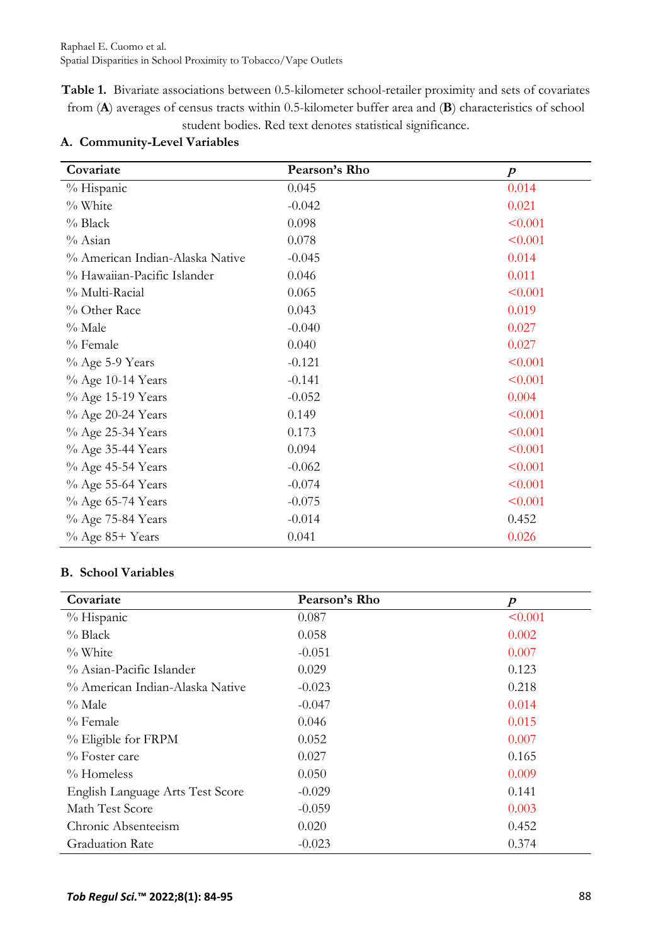**Table 1.** Bivariate associations between 0.5-kilometer school-retailer proximity and sets of covariates from (**A**) averages of census tracts within 0.5-kilometer buffer area and (**B**) characteristics of school student bodies. Red text denotes statistical significance.

| Covariate                       | Pearson's Rho | $\boldsymbol{p}$ |
|---------------------------------|---------------|------------------|
| % Hispanic                      | 0.045         | 0.014            |
| % White                         | $-0.042$      | 0.021            |
| % Black                         | 0.098         | < 0.001          |
| % Asian                         | 0.078         | < 0.001          |
| % American Indian-Alaska Native | $-0.045$      | 0.014            |
| % Hawaiian-Pacific Islander     | 0.046         | 0.011            |
| % Multi-Racial                  | 0.065         | < 0.001          |
| % Other Race                    | 0.043         | 0.019            |
| $\%$ Male                       | $-0.040$      | 0.027            |
| % Female                        | 0.040         | 0.027            |
| % Age 5-9 Years                 | $-0.121$      | < 0.001          |
| % Age 10-14 Years               | $-0.141$      | < 0.001          |
| % Age 15-19 Years               | $-0.052$      | 0.004            |
| % Age 20-24 Years               | 0.149         | < 0.001          |
| % Age 25-34 Years               | 0.173         | < 0.001          |
| % Age 35-44 Years               | 0.094         | < 0.001          |
| % Age 45-54 Years               | $-0.062$      | < 0.001          |
| % Age 55-64 Years               | $-0.074$      | < 0.001          |
| % Age 65-74 Years               | $-0.075$      | < 0.001          |
| % Age 75-84 Years               | $-0.014$      | 0.452            |
| % Age 85+ Years                 | 0.041         | 0.026            |

# **A. Community-Level Variables**

## **B. School Variables**

| Covariate                        | Pearson's Rho | $\boldsymbol{p}$ |
|----------------------------------|---------------|------------------|
| % Hispanic                       | 0.087         | < 0.001          |
| $%$ Black                        | 0.058         | 0.002            |
| $\%$ White                       | $-0.051$      | 0.007            |
| % Asian-Pacific Islander         | 0.029         | 0.123            |
| % American Indian-Alaska Native  | $-0.023$      | 0.218            |
| $\%$ Male                        | $-0.047$      | 0.014            |
| $\%$ Female                      | 0.046         | 0.015            |
| % Eligible for FRPM              | 0.052         | 0.007            |
| $\%$ Foster care                 | 0.027         | 0.165            |
| % Homeless                       | 0.050         | 0.009            |
| English Language Arts Test Score | $-0.029$      | 0.141            |
| Math Test Score                  | $-0.059$      | 0.003            |
| Chronic Absenteeism              | 0.020         | 0.452            |
| <b>Graduation Rate</b>           | $-0.023$      | 0.374            |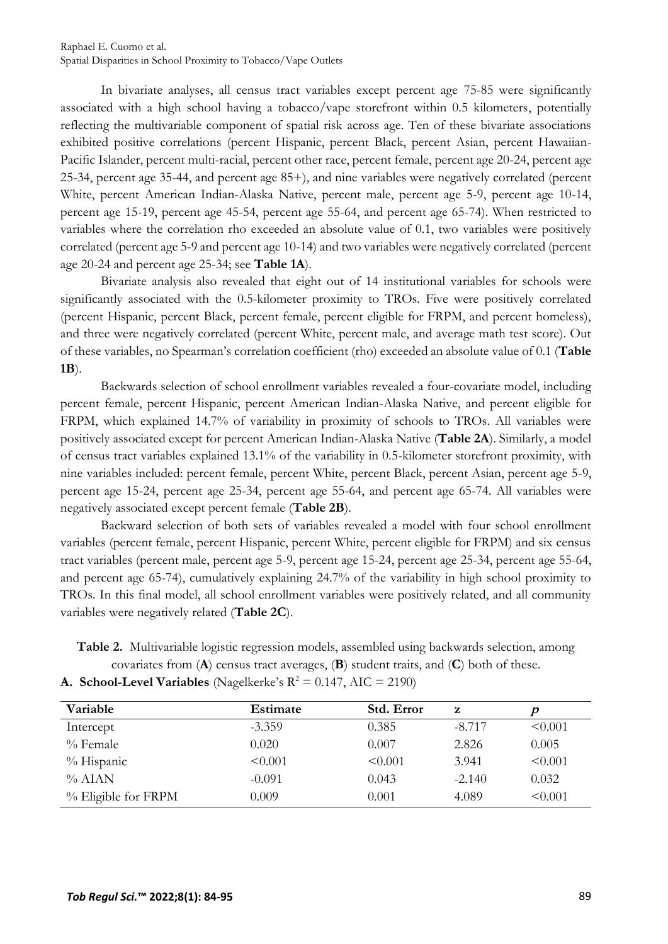Raphael E. Cuomo et al. Spatial Disparities in School Proximity to Tobacco/Vape Outlets

In bivariate analyses, all census tract variables except percent age 75-85 were significantly associated with a high school having a tobacco/vape storefront within 0.5 kilometers, potentially reflecting the multivariable component of spatial risk across age. Ten of these bivariate associations exhibited positive correlations (percent Hispanic, percent Black, percent Asian, percent Hawaiian-Pacific Islander, percent multi-racial, percent other race, percent female, percent age 20-24, percent age 25-34, percent age 35-44, and percent age 85+), and nine variables were negatively correlated (percent White, percent American Indian-Alaska Native, percent male, percent age 5-9, percent age 10-14, percent age 15-19, percent age 45-54, percent age 55-64, and percent age 65-74). When restricted to variables where the correlation rho exceeded an absolute value of 0.1, two variables were positively correlated (percent age 5-9 and percent age 10-14) and two variables were negatively correlated (percent age 20-24 and percent age 25-34; see **Table 1A**).

Bivariate analysis also revealed that eight out of 14 institutional variables for schools were significantly associated with the 0.5-kilometer proximity to TROs. Five were positively correlated (percent Hispanic, percent Black, percent female, percent eligible for FRPM, and percent homeless), and three were negatively correlated (percent White, percent male, and average math test score). Out of these variables, no Spearman's correlation coefficient (rho) exceeded an absolute value of 0.1 (**Table 1B**).

Backwards selection of school enrollment variables revealed a four-covariate model, including percent female, percent Hispanic, percent American Indian-Alaska Native, and percent eligible for FRPM, which explained 14.7% of variability in proximity of schools to TROs. All variables were positively associated except for percent American Indian-Alaska Native (**Table 2A**). Similarly, a model of census tract variables explained 13.1% of the variability in 0.5-kilometer storefront proximity, with nine variables included: percent female, percent White, percent Black, percent Asian, percent age 5-9, percent age 15-24, percent age 25-34, percent age 55-64, and percent age 65-74. All variables were negatively associated except percent female (**Table 2B**).

Backward selection of both sets of variables revealed a model with four school enrollment variables (percent female, percent Hispanic, percent White, percent eligible for FRPM) and six census tract variables (percent male, percent age 5-9, percent age 15-24, percent age 25-34, percent age 55-64, and percent age 65-74), cumulatively explaining 24.7% of the variability in high school proximity to TROs. In this final model, all school enrollment variables were positively related, and all community variables were negatively related (**Table 2C**).

**Table 2.** Multivariable logistic regression models, assembled using backwards selection, among covariates from (**A**) census tract averages, (**B**) student traits, and (**C**) both of these.

**A. School-Level Variables** (Nagelkerke's  $R^2 = 0.147$ , AIC = 2190)

| Variable            | <b>Estimate</b> | Std. Error | z        |              |
|---------------------|-----------------|------------|----------|--------------|
| Intercept           | $-3.359$        | 0.385      | $-8.717$ | < 0.001      |
| $%$ Female          | 0.020           | 0.007      | 2.826    | 0.005        |
| % Hispanic          | $\leq 0.001$    | < 0.001    | 3.941    | < 0.001      |
| $%$ AIAN            | $-0.091$        | 0.043      | $-2.140$ | 0.032        |
| % Eligible for FRPM | 0.009           | 0.001      | 4.089    | $\leq 0.001$ |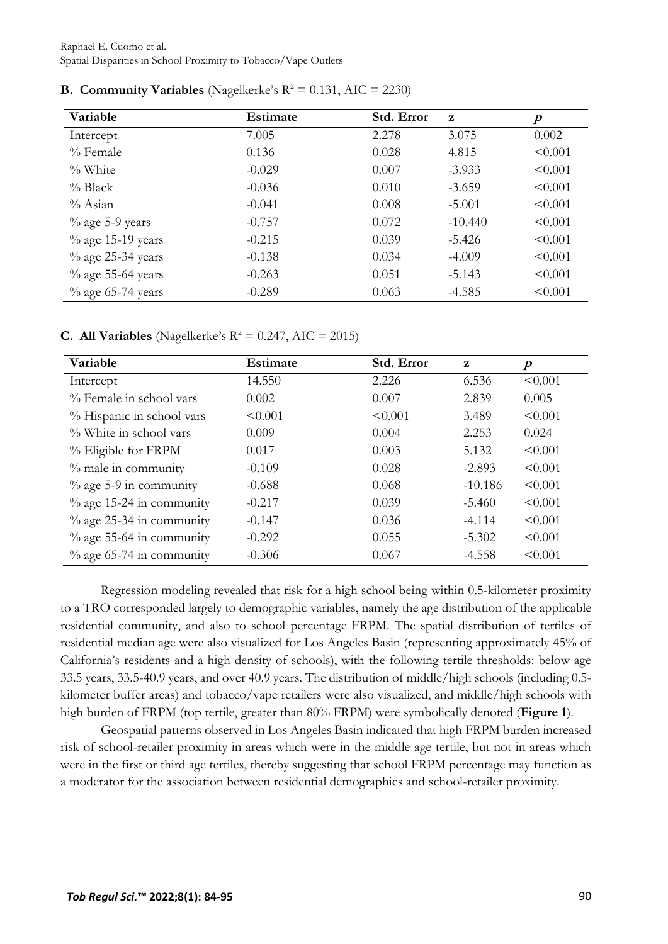Raphael E. Cuomo et al. Spatial Disparities in School Proximity to Tobacco/Vape Outlets

| Variable             | Estimate | Std. Error | $\mathbf{z}$ | $\boldsymbol{p}$ |
|----------------------|----------|------------|--------------|------------------|
| Intercept            | 7.005    | 2.278      | 3.075        | 0.002            |
| $\%$ Female          | 0.136    | 0.028      | 4.815        | < 0.001          |
| $\%$ White           | $-0.029$ | 0.007      | $-3.933$     | $\leq 0.001$     |
| $\%$ Black           | $-0.036$ | 0.010      | $-3.659$     | $\leq 0.001$     |
| $\%$ Asian           | $-0.041$ | 0.008      | $-5.001$     | < 0.001          |
| $\%$ age 5-9 years   | $-0.757$ | 0.072      | $-10.440$    | $\leq 0.001$     |
| $\%$ age 15-19 years | $-0.215$ | 0.039      | $-5.426$     | $\leq 0.001$     |
| $\%$ age 25-34 years | $-0.138$ | 0.034      | $-4.009$     | $\leq 0.001$     |
| $\%$ age 55-64 years | $-0.263$ | 0.051      | $-5.143$     | < 0.001          |
| $\%$ age 65-74 years | $-0.289$ | 0.063      | $-4.585$     | < 0.001          |

**B. Community Variables** (Nagelkerke's  $R^2 = 0.131$ , AIC = 2230)

**C. All Variables** (Nagelkerke's  $R^2 = 0.247$ , AIC = 2015)

| Variable                    | Estimate | Std. Error | $\mathbf{z}$ | $\boldsymbol{p}$ |
|-----------------------------|----------|------------|--------------|------------------|
| Intercept                   | 14.550   | 2.226      | 6.536        | < 0.001          |
| % Female in school vars     | 0.002    | 0.007      | 2.839        | 0.005            |
| % Hispanic in school vars   | < 0.001  | < 0.001    | 3.489        | < 0.001          |
| % White in school vars      | 0.009    | 0.004      | 2.253        | 0.024            |
| % Eligible for FRPM         | 0.017    | 0.003      | 5.132        | < 0.001          |
| $\%$ male in community      | $-0.109$ | 0.028      | $-2.893$     | < 0.001          |
| $\%$ age 5-9 in community   | $-0.688$ | 0.068      | $-10.186$    | < 0.001          |
| $\%$ age 15-24 in community | $-0.217$ | 0.039      | $-5.460$     | < 0.001          |
| $\%$ age 25-34 in community | $-0.147$ | 0.036      | $-4.114$     | < 0.001          |
| $\%$ age 55-64 in community | $-0.292$ | 0.055      | $-5.302$     | < 0.001          |
| $\%$ age 65-74 in community | $-0.306$ | 0.067      | $-4.558$     | < 0.001          |

Regression modeling revealed that risk for a high school being within 0.5-kilometer proximity to a TRO corresponded largely to demographic variables, namely the age distribution of the applicable residential community, and also to school percentage FRPM. The spatial distribution of tertiles of residential median age were also visualized for Los Angeles Basin (representing approximately 45% of California's residents and a high density of schools), with the following tertile thresholds: below age 33.5 years, 33.5-40.9 years, and over 40.9 years. The distribution of middle/high schools (including 0.5 kilometer buffer areas) and tobacco/vape retailers were also visualized, and middle/high schools with high burden of FRPM (top tertile, greater than 80% FRPM) were symbolically denoted (**Figure 1**).

Geospatial patterns observed in Los Angeles Basin indicated that high FRPM burden increased risk of school-retailer proximity in areas which were in the middle age tertile, but not in areas which were in the first or third age tertiles, thereby suggesting that school FRPM percentage may function as a moderator for the association between residential demographics and school-retailer proximity.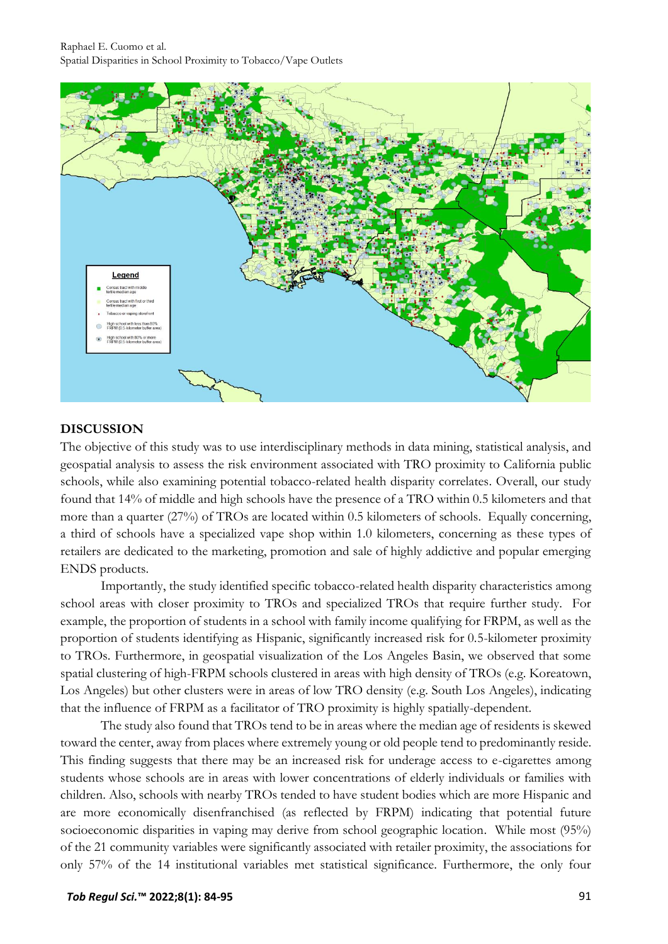

#### **DISCUSSION**

The objective of this study was to use interdisciplinary methods in data mining, statistical analysis, and geospatial analysis to assess the risk environment associated with TRO proximity to California public schools, while also examining potential tobacco-related health disparity correlates. Overall, our study found that 14% of middle and high schools have the presence of a TRO within 0.5 kilometers and that more than a quarter (27%) of TROs are located within 0.5 kilometers of schools. Equally concerning, a third of schools have a specialized vape shop within 1.0 kilometers, concerning as these types of retailers are dedicated to the marketing, promotion and sale of highly addictive and popular emerging ENDS products.

Importantly, the study identified specific tobacco-related health disparity characteristics among school areas with closer proximity to TROs and specialized TROs that require further study. For example, the proportion of students in a school with family income qualifying for FRPM, as well as the proportion of students identifying as Hispanic, significantly increased risk for 0.5-kilometer proximity to TROs. Furthermore, in geospatial visualization of the Los Angeles Basin, we observed that some spatial clustering of high-FRPM schools clustered in areas with high density of TROs (e.g. Koreatown, Los Angeles) but other clusters were in areas of low TRO density (e.g. South Los Angeles), indicating that the influence of FRPM as a facilitator of TRO proximity is highly spatially-dependent.

The study also found that TROs tend to be in areas where the median age of residents is skewed toward the center, away from places where extremely young or old people tend to predominantly reside. This finding suggests that there may be an increased risk for underage access to e-cigarettes among students whose schools are in areas with lower concentrations of elderly individuals or families with children. Also, schools with nearby TROs tended to have student bodies which are more Hispanic and are more economically disenfranchised (as reflected by FRPM) indicating that potential future socioeconomic disparities in vaping may derive from school geographic location. While most (95%) of the 21 community variables were significantly associated with retailer proximity, the associations for only 57% of the 14 institutional variables met statistical significance. Furthermore, the only four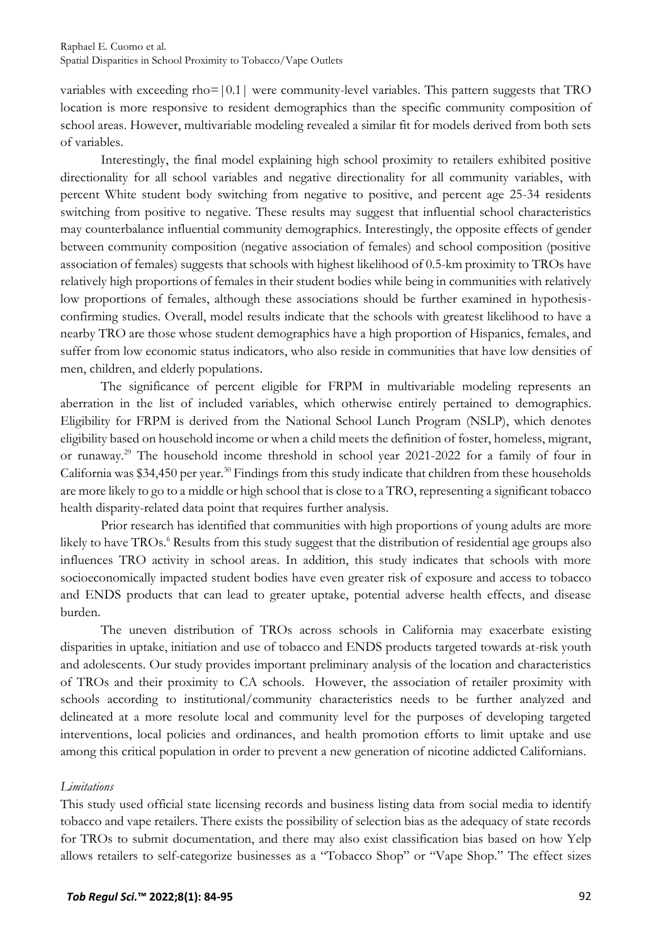variables with exceeding rho= $|0.1|$  were community-level variables. This pattern suggests that TRO location is more responsive to resident demographics than the specific community composition of school areas. However, multivariable modeling revealed a similar fit for models derived from both sets of variables.

Interestingly, the final model explaining high school proximity to retailers exhibited positive directionality for all school variables and negative directionality for all community variables, with percent White student body switching from negative to positive, and percent age 25-34 residents switching from positive to negative. These results may suggest that influential school characteristics may counterbalance influential community demographics. Interestingly, the opposite effects of gender between community composition (negative association of females) and school composition (positive association of females) suggests that schools with highest likelihood of 0.5-km proximity to TROs have relatively high proportions of females in their student bodies while being in communities with relatively low proportions of females, although these associations should be further examined in hypothesisconfirming studies. Overall, model results indicate that the schools with greatest likelihood to have a nearby TRO are those whose student demographics have a high proportion of Hispanics, females, and suffer from low economic status indicators, who also reside in communities that have low densities of men, children, and elderly populations.

The significance of percent eligible for FRPM in multivariable modeling represents an aberration in the list of included variables, which otherwise entirely pertained to demographics. Eligibility for FRPM is derived from the National School Lunch Program (NSLP), which denotes eligibility based on household income or when a child meets the definition of foster, homeless, migrant, or runaway.<sup>[29](#page-11-7)</sup> The household income threshold in school year 2021-2022 for a family of four in California was \$34,450 per year.<sup>[30](#page-11-8)</sup> Findings from this study indicate that children from these households are more likely to go to a middle or high school that is close to a TRO, representing a significant tobacco health disparity-related data point that requires further analysis.

Prior research has identified that communities with high proportions of young adults are more likely to have TROs[.](#page-10-5) <sup>6</sup> Results from this study suggest that the distribution of residential age groups also influences TRO activity in school areas. In addition, this study indicates that schools with more socioeconomically impacted student bodies have even greater risk of exposure and access to tobacco and ENDS products that can lead to greater uptake, potential adverse health effects, and disease burden.

The uneven distribution of TROs across schools in California may exacerbate existing disparities in uptake, initiation and use of tobacco and ENDS products targeted towards at-risk youth and adolescents. Our study provides important preliminary analysis of the location and characteristics of TROs and their proximity to CA schools. However, the association of retailer proximity with schools according to institutional/community characteristics needs to be further analyzed and delineated at a more resolute local and community level for the purposes of developing targeted interventions, local policies and ordinances, and health promotion efforts to limit uptake and use among this critical population in order to prevent a new generation of nicotine addicted Californians.

#### *Limitations*

This study used official state licensing records and business listing data from social media to identify tobacco and vape retailers. There exists the possibility of selection bias as the adequacy of state records for TROs to submit documentation, and there may also exist classification bias based on how Yelp allows retailers to self-categorize businesses as a "Tobacco Shop" or "Vape Shop." The effect sizes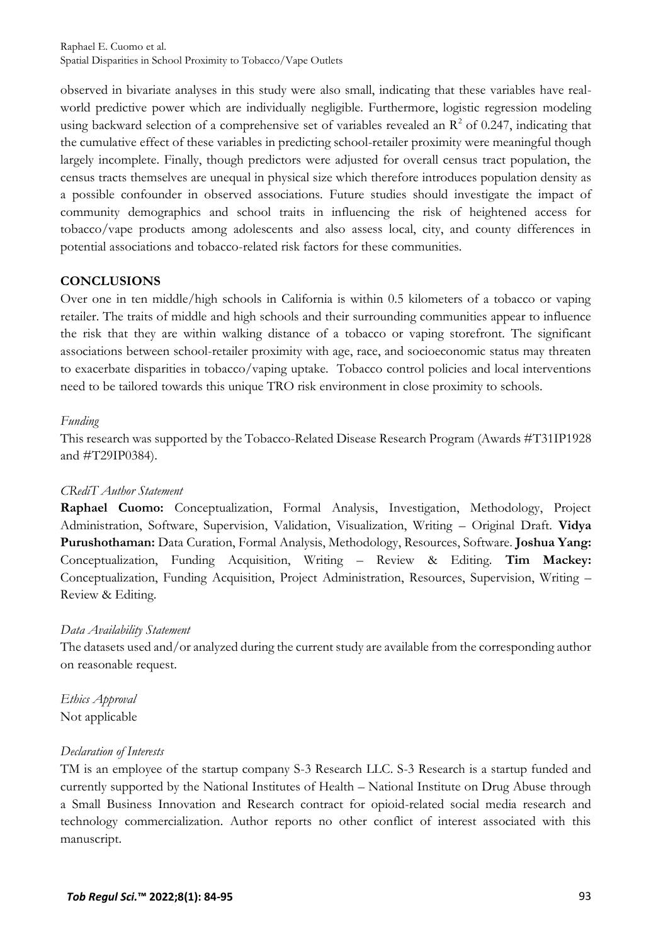observed in bivariate analyses in this study were also small, indicating that these variables have realworld predictive power which are individually negligible. Furthermore, logistic regression modeling using backward selection of a comprehensive set of variables revealed an  $\mathbb{R}^2$  of 0.247, indicating that the cumulative effect of these variables in predicting school-retailer proximity were meaningful though largely incomplete. Finally, though predictors were adjusted for overall census tract population, the census tracts themselves are unequal in physical size which therefore introduces population density as a possible confounder in observed associations. Future studies should investigate the impact of community demographics and school traits in influencing the risk of heightened access for tobacco/vape products among adolescents and also assess local, city, and county differences in potential associations and tobacco-related risk factors for these communities.

## **CONCLUSIONS**

Over one in ten middle/high schools in California is within 0.5 kilometers of a tobacco or vaping retailer. The traits of middle and high schools and their surrounding communities appear to influence the risk that they are within walking distance of a tobacco or vaping storefront. The significant associations between school-retailer proximity with age, race, and socioeconomic status may threaten to exacerbate disparities in tobacco/vaping uptake. Tobacco control policies and local interventions need to be tailored towards this unique TRO risk environment in close proximity to schools.

## *Funding*

This research was supported by the Tobacco-Related Disease Research Program (Awards #T31IP1928 and #T29IP0384).

## *CRediT Author Statement*

**Raphael Cuomo:** Conceptualization, Formal Analysis, Investigation, Methodology, Project Administration, Software, Supervision, Validation, Visualization, Writing – Original Draft. **Vidya Purushothaman:** Data Curation, Formal Analysis, Methodology, Resources, Software. **Joshua Yang:**  Conceptualization, Funding Acquisition, Writing – Review & Editing. **Tim Mackey:**  Conceptualization, Funding Acquisition, Project Administration, Resources, Supervision, Writing – Review & Editing.

## *Data Availability Statement*

The datasets used and/or analyzed during the current study are available from the corresponding author on reasonable request.

*Ethics Approval* Not applicable

## *Declaration of Interests*

TM is an employee of the startup company S-3 Research LLC. S-3 Research is a startup funded and currently supported by the National Institutes of Health – National Institute on Drug Abuse through a Small Business Innovation and Research contract for opioid-related social media research and technology commercialization. Author reports no other conflict of interest associated with this manuscript.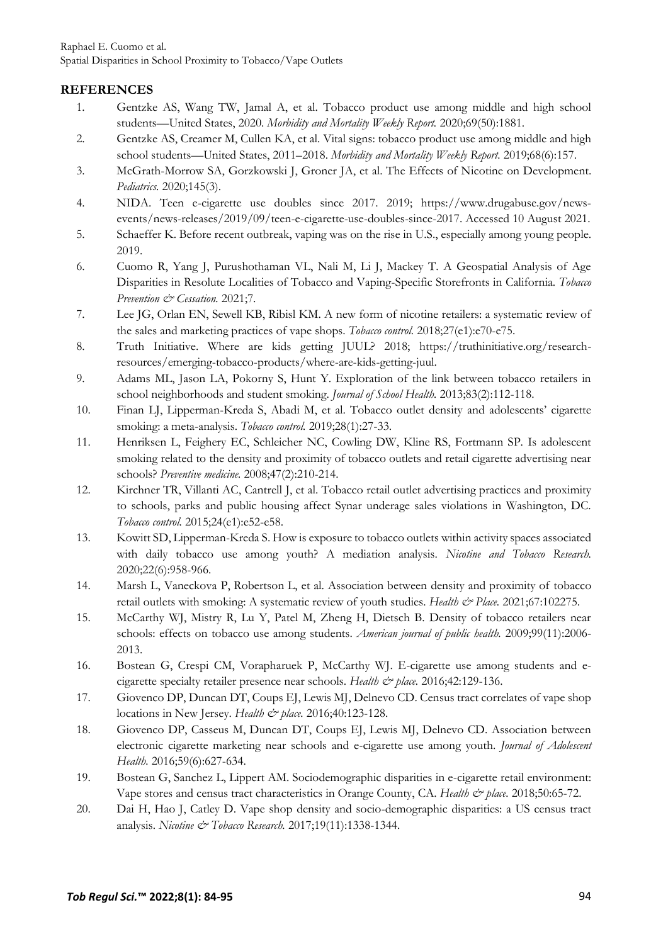## **REFERENCES**

- <span id="page-10-0"></span>1. Gentzke AS, Wang TW, Jamal A, et al. Tobacco product use among middle and high school students—United States, 2020. *Morbidity and Mortality Weekly Report.* 2020;69(50):1881.
- <span id="page-10-1"></span>2. Gentzke AS, Creamer M, Cullen KA, et al. Vital signs: tobacco product use among middle and high school students—United States, 2011–2018. *Morbidity and Mortality Weekly Report.* 2019;68(6):157.
- <span id="page-10-2"></span>3. McGrath-Morrow SA, Gorzkowski J, Groner JA, et al. The Effects of Nicotine on Development. *Pediatrics.* 2020;145(3).
- <span id="page-10-3"></span>4. NIDA. Teen e-cigarette use doubles since 2017. 2019; https://www.drugabuse.gov/newsevents/news-releases/2019/09/teen-e-cigarette-use-doubles-since-2017. Accessed 10 August 2021.
- <span id="page-10-4"></span>5. Schaeffer K. Before recent outbreak, vaping was on the rise in U.S., especially among young people. 2019.
- <span id="page-10-5"></span>6. Cuomo R, Yang J, Purushothaman VL, Nali M, Li J, Mackey T. A Geospatial Analysis of Age Disparities in Resolute Localities of Tobacco and Vaping-Specific Storefronts in California. *Tobacco Prevention & Cessation.* 2021;7.
- <span id="page-10-6"></span>7. Lee JG, Orlan EN, Sewell KB, Ribisl KM. A new form of nicotine retailers: a systematic review of the sales and marketing practices of vape shops. *Tobacco control.* 2018;27(e1):e70-e75.
- <span id="page-10-7"></span>8. Truth Initiative. Where are kids getting JUUL? 2018; https://truthinitiative.org/researchresources/emerging-tobacco-products/where-are-kids-getting-juul.
- <span id="page-10-8"></span>9. Adams ML, Jason LA, Pokorny S, Hunt Y. Exploration of the link between tobacco retailers in school neighborhoods and student smoking. *Journal of School Health.* 2013;83(2):112-118.
- 10. Finan LJ, Lipperman-Kreda S, Abadi M, et al. Tobacco outlet density and adolescents' cigarette smoking: a meta-analysis. *Tobacco control.* 2019;28(1):27-33.
- 11. Henriksen L, Feighery EC, Schleicher NC, Cowling DW, Kline RS, Fortmann SP. Is adolescent smoking related to the density and proximity of tobacco outlets and retail cigarette advertising near schools? *Preventive medicine.* 2008;47(2):210-214.
- 12. Kirchner TR, Villanti AC, Cantrell J, et al. Tobacco retail outlet advertising practices and proximity to schools, parks and public housing affect Synar underage sales violations in Washington, DC. *Tobacco control.* 2015;24(e1):e52-e58.
- 13. Kowitt SD, Lipperman-Kreda S. How is exposure to tobacco outlets within activity spaces associated with daily tobacco use among youth? A mediation analysis. *Nicotine and Tobacco Research.*  2020;22(6):958-966.
- 14. Marsh L, Vaneckova P, Robertson L, et al. Association between density and proximity of tobacco retail outlets with smoking: A systematic review of youth studies. *Health & Place.* 2021;67:102275.
- 15. McCarthy WJ, Mistry R, Lu Y, Patel M, Zheng H, Dietsch B. Density of tobacco retailers near schools: effects on tobacco use among students. *American journal of public health.* 2009;99(11):2006- 2013.
- <span id="page-10-9"></span>16. Bostean G, Crespi CM, Vorapharuek P, McCarthy WJ. E-cigarette use among students and ecigarette specialty retailer presence near schools. *Health & place.* 2016;42:129-136.
- <span id="page-10-10"></span>17. Giovenco DP, Duncan DT, Coups EJ, Lewis MJ, Delnevo CD. Census tract correlates of vape shop locations in New Jersey. *Health & place.* 2016;40:123-128.
- 18. Giovenco DP, Casseus M, Duncan DT, Coups EJ, Lewis MJ, Delnevo CD. Association between electronic cigarette marketing near schools and e-cigarette use among youth. *Journal of Adolescent Health.* 2016;59(6):627-634.
- <span id="page-10-11"></span>19. Bostean G, Sanchez L, Lippert AM. Sociodemographic disparities in e-cigarette retail environment: Vape stores and census tract characteristics in Orange County, CA. *Health & place.* 2018;50:65-72.
- 20. Dai H, Hao J, Catley D. Vape shop density and socio-demographic disparities: a US census tract analysis. *Nicotine & Tobacco Research.* 2017;19(11):1338-1344.